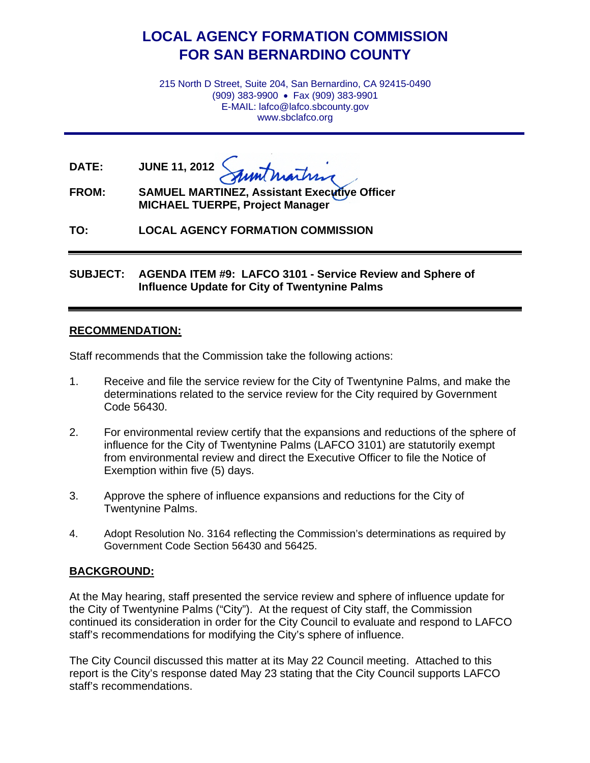# **LOCAL AGENCY FORMATION COMMISSION FOR SAN BERNARDINO COUNTY**

215 North D Street, Suite 204, San Bernardino, CA 92415-0490 (909) 383-9900 • Fax (909) 383-9901 E-MAIL: lafco@lafco.sbcounty.gov www.sbclafco.org

**DATE: JUNE 11, 2012**

**FROM: SAMUEL MARTINEZ, Assistant Executive Officer MICHAEL TUERPE, Project Manager**

**TO: LOCAL AGENCY FORMATION COMMISSION**

**SUBJECT: AGENDA ITEM #9: LAFCO 3101 - Service Review and Sphere of Influence Update for City of Twentynine Palms**

#### **RECOMMENDATION:**

Staff recommends that the Commission take the following actions:

- 1. Receive and file the service review for the City of Twentynine Palms, and make the determinations related to the service review for the City required by Government Code 56430.
- 2. For environmental review certify that the expansions and reductions of the sphere of influence for the City of Twentynine Palms (LAFCO 3101) are statutorily exempt from environmental review and direct the Executive Officer to file the Notice of Exemption within five (5) days.
- 3. Approve the sphere of influence expansions and reductions for the City of Twentynine Palms.
- 4. Adopt Resolution No. 3164 reflecting the Commission's determinations as required by Government Code Section 56430 and 56425.

### **BACKGROUND:**

At the May hearing, staff presented the service review and sphere of influence update for the City of Twentynine Palms ("City"). At the request of City staff, the Commission continued its consideration in order for the City Council to evaluate and respond to LAFCO staff's recommendations for modifying the City's sphere of influence.

The City Council discussed this matter at its May 22 Council meeting. Attached to this report is the City's response dated May 23 stating that the City Council supports LAFCO staff's recommendations.